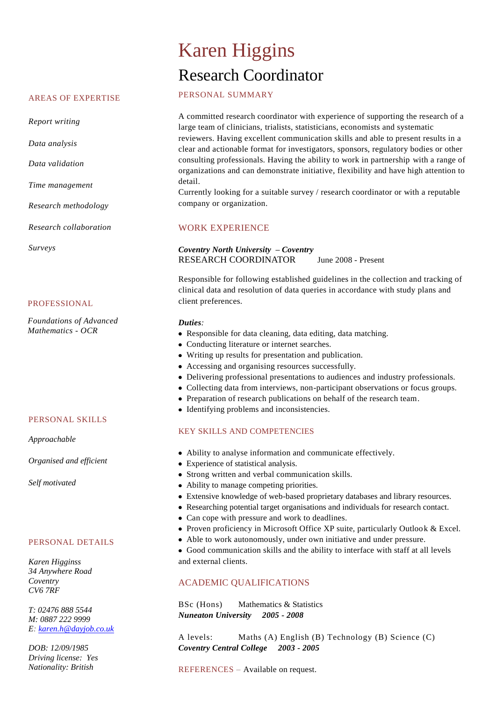#### AREAS OF EXPERTISE

*Report writing*

*Data analysis*

*Data validation*

*Time management*

*Research methodology*

*Research collaboration*

*Surveys*

#### PROFESSIONAL

*Foundations of Advanced Mathematics - OCR*

#### PERSONAL SKILLS

*Approachable*

*Organised and efficient*

*Self motivated*

### PERSONAL DETAILS

*Karen Higginss 34 Anywhere Road Coventry CV6 7RF*

*T: 02476 888 5544 M: 0887 222 9999 E: [karen.h@dayjob.co.uk](mailto:karen.h@dayjob.co.uk)*

*DOB: 12/09/1985 Driving license: Yes Nationality: British*

# Karen Higgins Research Coordinator

# PERSONAL SUMMARY

A committed research coordinator with experience of supporting the research of a large team of clinicians, trialists, statisticians, economists and systematic

reviewers. Having excellent communication skills and able to present results in a clear and actionable format for investigators, sponsors, regulatory bodies or other consulting professionals. Having the ability to work in partnership with a range of organizations and can demonstrate initiative, flexibility and have high attention to detail.

Currently looking for a suitable survey / research coordinator or with a reputable company or organization.

# WORK EXPERIENCE

### *Coventry North University – Coventry* RESEARCH COORDINATOR June 2008 - Present

Responsible for following established guidelines in the collection and tracking of clinical data and resolution of data queries in accordance with study plans and client preferences.

#### *Duties:*

- Responsible for data cleaning, data editing, data matching.
- Conducting literature or internet searches.
- Writing up results for presentation and publication.
- Accessing and organising resources successfully.
- Delivering professional presentations to audiences and industry professionals.
- Collecting data from interviews, non-participant observations or focus groups.
- Preparation of research publications on behalf of the research team.
- Identifying problems and inconsistencies.

# KEY SKILLS AND COMPETENCIES

- Ability to analyse information and communicate effectively.
- Experience of statistical analysis.
- Strong written and verbal communication skills.
- Ability to manage competing priorities.
- Extensive knowledge of web-based proprietary databases and library resources.
- Researching potential target organisations and individuals for research contact.
- Can cope with pressure and work to deadlines.
- Proven proficiency in Microsoft Office XP suite, particularly Outlook & Excel.
- Able to work autonomously, under own initiative and under pressure.
- Good communication skills and the ability to interface with staff at all levels and external clients.

# ACADEMIC QUALIFICATIONS

BSc (Hons) Mathematics & Statistics *Nuneaton University 2005 - 2008* 

A levels: Maths (A) English (B) Technology (B) Science (C) *Coventry Central College 2003 - 2005*

REFERENCES – Available on request.